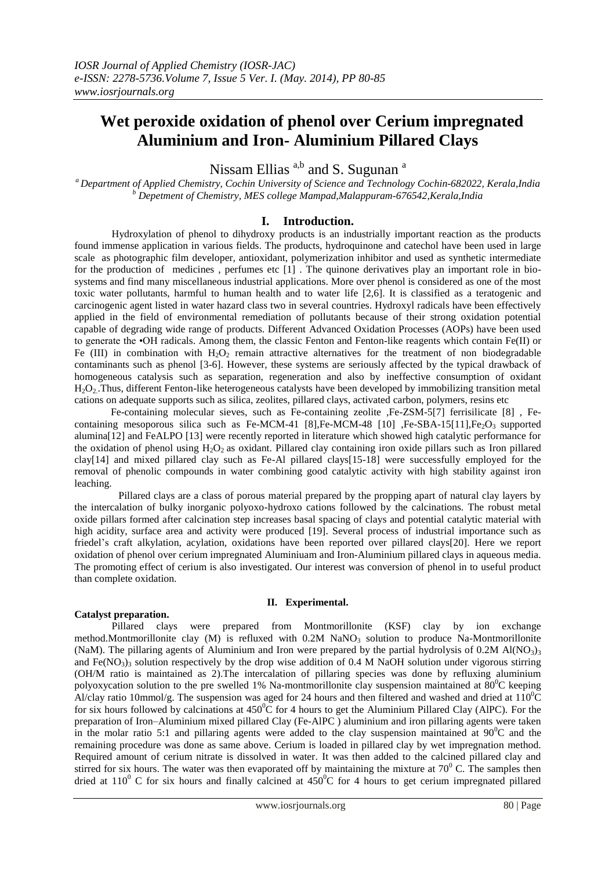# **Wet peroxide oxidation of phenol over Cerium impregnated Aluminium and Iron- Aluminium Pillared Clays**

Nissam Ellias <sup>a,b</sup> and S. Sugunan<sup>a</sup>

*<sup>a</sup>Department of Applied Chemistry, Cochin University of Science and Technology Cochin-682022, Kerala,India <sup>b</sup> Depetment of Chemistry, MES college Mampad,Malappuram-676542,Kerala,India*

## **I. Introduction.**

 Hydroxylation of phenol to dihydroxy products is an industrially important reaction as the products found immense application in various fields. The products, hydroquinone and catechol have been used in large scale as photographic film developer, antioxidant, polymerization inhibitor and used as synthetic intermediate for the production of medicines , perfumes etc [1] . The quinone derivatives play an important role in biosystems and find many miscellaneous industrial applications. More over phenol is considered as one of the most toxic water pollutants, harmful to human health and to water life [2,6]. It is classified as a teratogenic and carcinogenic agent listed in water hazard class two in several countries. Hydroxyl radicals have been effectively applied in the field of environmental remediation of pollutants because of their strong oxidation potential capable of degrading wide range of products. Different Advanced Oxidation Processes (AOPs) have been used to generate the •OH radicals. Among them, the classic Fenton and Fenton-like reagents which contain Fe(II) or Fe (III) in combination with  $H_2O_2$  remain attractive alternatives for the treatment of non biodegradable contaminants such as phenol [3-6]. However, these systems are seriously affected by the typical drawback of homogeneous catalysis such as separation, regeneration and also by ineffective consumption of oxidant  $H_2O_2$ . Thus, different Fenton-like heterogeneous catalysts have been developed by immobilizing transition metal cations on adequate supports such as silica, zeolites, pillared clays, activated carbon, polymers, resins etc

 Fe-containing molecular sieves, such as Fe-containing zeolite ,Fe-ZSM-5[7] ferrisilicate [8] , Fecontaining mesoporous silica such as Fe-MCM-41 [8],Fe-MCM-48 [10] ,Fe-SBA-15[11],Fe<sub>2</sub>O<sub>3</sub> supported alumina[12] and FeALPO [13] were recently reported in literature which showed high catalytic performance for the oxidation of phenol using  $H_2O_2$  as oxidant. Pillared clay containing iron oxide pillars such as Iron pillared clay[14] and mixed pillared clay such as Fe-Al pillared clays[15-18] were successfully employed for the removal of phenolic compounds in water combining good catalytic activity with high stability against iron leaching.

 Pillared clays are a class of porous material prepared by the propping apart of natural clay layers by the intercalation of bulky inorganic polyoxo-hydroxo cations followed by the calcinations. The robust metal oxide pillars formed after calcination step increases basal spacing of clays and potential catalytic material with high acidity, surface area and activity were produced [19]. Several process of industrial importance such as friedel's craft alkylation, acylation, oxidations have been reported over pillared clays[20]. Here we report oxidation of phenol over cerium impregnated Aluminiuam and Iron-Aluminium pillared clays in aqueous media. The promoting effect of cerium is also investigated. Our interest was conversion of phenol in to useful product than complete oxidation.

## **II. Experimental.**

## **Catalyst preparation.**

Pillared clays were prepared from Montmorillonite (KSF) clay by ion exchange method.Montmorillonite clay  $(M)$  is refluxed with  $0.2M$  NaNO<sub>3</sub> solution to produce Na-Montmorillonite (NaM). The pillaring agents of Aluminium and Iron were prepared by the partial hydrolysis of 0.2M Al(NO<sub>3</sub>)<sub>3</sub> and Fe(NO<sub>3</sub>)<sub>3</sub> solution respectively by the drop wise addition of 0.4 M NaOH solution under vigorous stirring (OH/M ratio is maintained as 2).The intercalation of pillaring species was done by refluxing aluminium polyoxycation solution to the pre swelled 1% Na-montmorillonite clay suspension maintained at  $80^{\circ}$ C keeping Al/clay ratio 10mmol/g. The suspension was aged for 24 hours and then filtered and washed and dried at  $110^{\circ}$ C for six hours followed by calcinations at  $450^{\circ}$ C for 4 hours to get the Aluminium Pillared Clay (AlPC). For the preparation of Iron–Aluminium mixed pillared Clay (Fe-AlPC ) aluminium and iron pillaring agents were taken in the molar ratio 5:1 and pillaring agents were added to the clay suspension maintained at  $90^{\circ}$ C and the remaining procedure was done as same above. Cerium is loaded in pillared clay by wet impregnation method. Required amount of cerium nitrate is dissolved in water. It was then added to the calcined pillared clay and stirred for six hours. The water was then evaporated off by maintaining the mixture at  $70^{\circ}$  C. The samples then dried at 110<sup>0</sup> C for six hours and finally calcined at 450<sup>0</sup>C for 4 hours to get cerium impregnated pillared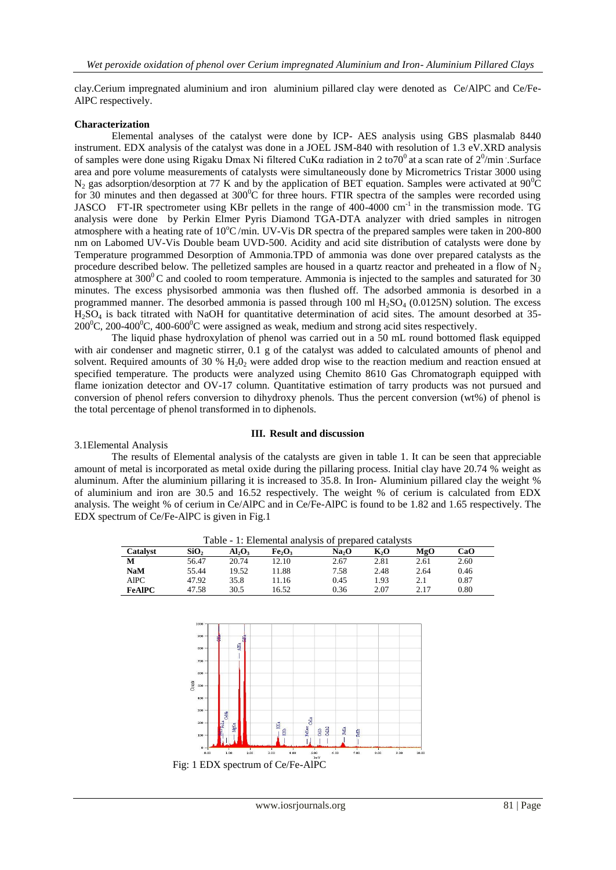clay.Cerium impregnated aluminium and iron aluminium pillared clay were denoted as Ce/AlPC and Ce/Fe-AlPC respectively.

#### **Characterization**

Elemental analyses of the catalyst were done by ICP- AES analysis using GBS plasmalab 8440 instrument. EDX analysis of the catalyst was done in a JOEL JSM-840 with resolution of 1.3 eV.XRD analysis of samples were done using Rigaku Dmax Ni filtered CuKa radiation in 2 to 70<sup>0</sup> at a scan rate of  $2^0$ /min .Surface area and pore volume measurements of catalysts were simultaneously done by Micrometrics Tristar 3000 using N<sub>2</sub> gas adsorption/desorption at 77 K and by the application of BET equation. Samples were activated at  $90^{\circ}$ C for 30 minutes and then degassed at  $300^{\circ}$ C for three hours. FTIR spectra of the samples were recorded using JASCO FT-IR spectrometer using KBr pellets in the range of 400-4000 cm<sup>-1</sup> in the transmission mode. TG analysis were done by Perkin Elmer Pyris Diamond TGA-DTA analyzer with dried samples in nitrogen atmosphere with a heating rate of  $10^{\circ}$ C/min. UV-Vis DR spectra of the prepared samples were taken in 200-800 nm on Labomed UV-Vis Double beam UVD-500. Acidity and acid site distribution of catalysts were done by Temperature programmed Desorption of Ammonia.TPD of ammonia was done over prepared catalysts as the procedure described below. The pelletized samples are housed in a quartz reactor and preheated in a flow of  $N<sub>2</sub>$ atmosphere at 300 $^{\circ}$ C and cooled to room temperature. Ammonia is injected to the samples and saturated for 30 minutes. The excess physisorbed ammonia was then flushed off. The adsorbed ammonia is desorbed in a programmed manner. The desorbed ammonia is passed through 100 ml  $H_2SO_4$  (0.0125N) solution. The excess  $H<sub>2</sub>SO<sub>4</sub>$  is back titrated with NaOH for quantitative determination of acid sites. The amount desorbed at 35-200<sup>o</sup>C, 200-400<sup>o</sup>C, 400-600<sup>o</sup>C were assigned as weak, medium and strong acid sites respectively.

 The liquid phase hydroxylation of phenol was carried out in a 50 mL round bottomed flask equipped with air condenser and magnetic stirrer, 0.1 g of the catalyst was added to calculated amounts of phenol and solvent. Required amounts of 30 %  $H<sub>2</sub>O<sub>2</sub>$  were added drop wise to the reaction medium and reaction ensued at specified temperature. The products were analyzed using Chemito 8610 Gas Chromatograph equipped with flame ionization detector and OV-17 column. Quantitative estimation of tarry products was not pursued and conversion of phenol refers conversion to dihydroxy phenols. Thus the percent conversion (wt%) of phenol is the total percentage of phenol transformed in to diphenols.

## **III. Result and discussion**

#### 3.1Elemental Analysis

The results of Elemental analysis of the catalysts are given in table 1. It can be seen that appreciable amount of metal is incorporated as metal oxide during the pillaring process. Initial clay have 20.74 % weight as aluminum. After the aluminium pillaring it is increased to 35.8. In Iron- Aluminium pillared clay the weight % of aluminium and iron are 30.5 and 16.52 respectively. The weight % of cerium is calculated from EDX analysis. The weight % of cerium in Ce/AlPC and in Ce/Fe-AlPC is found to be 1.82 and 1.65 respectively. The EDX spectrum of Ce/Fe-AlPC is given in Fig.1

| Table - 1: Elemental analysis of prepared catalysts |                  |       |                                |                   |      |      |      |
|-----------------------------------------------------|------------------|-------|--------------------------------|-------------------|------|------|------|
| Catalyst                                            | SiO <sub>2</sub> | Al,O, | Fe <sub>2</sub> O <sub>3</sub> | Na <sub>2</sub> O | КÆ   | MgO  | CaO  |
| М                                                   | 56.47            | 20.74 | 12.10                          | 2.67              | 2.81 | 2.61 | 2.60 |
| <b>NaM</b>                                          | 55.44            | 19.52 | 11.88                          | 7.58              | 2.48 | 2.64 | 0.46 |
| AlPC                                                | 47.92            | 35.8  | 11.16                          | 0.45              | 1.93 | 2.1  | 0.87 |
| <b>FeAIPC</b>                                       | 47.58            | 30.5  | 16.52                          | 0.36              | 2.07 | 2.17 | 0.80 |

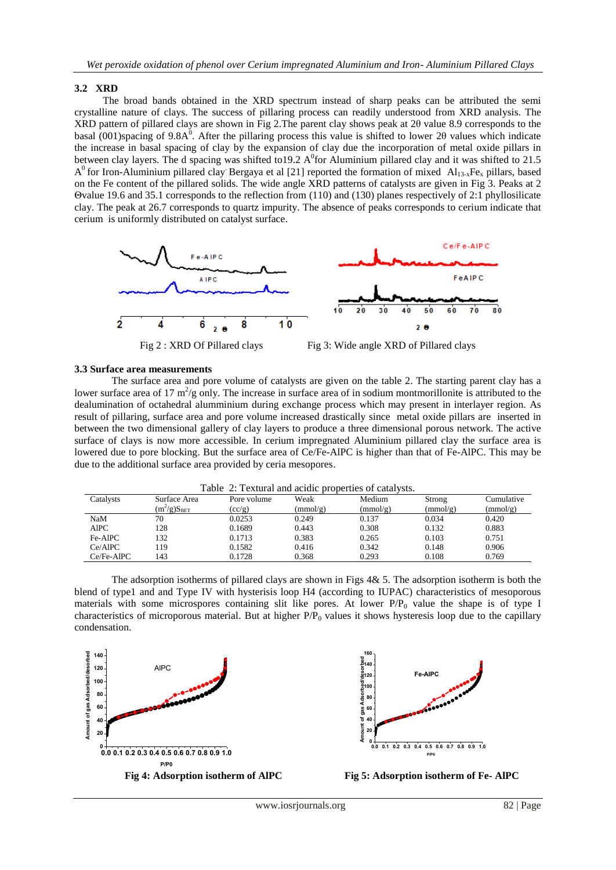## **3.2 XRD**

 The broad bands obtained in the XRD spectrum instead of sharp peaks can be attributed the semi crystalline nature of clays. The success of pillaring process can readily understood from XRD analysis. The XRD pattern of pillared clays are shown in Fig 2.The parent clay shows peak at 2θ value 8.9 corresponds to the basal (001)spacing of 9.8A<sup>0</sup>. After the pillaring process this value is shifted to lower 20 values which indicate the increase in basal spacing of clay by the expansion of clay due the incorporation of metal oxide pillars in between clay layers. The d spacing was shifted to 19.2 A<sup>0</sup> for Aluminium pillared clay and it was shifted to 21.5  $A^0$  for Iron-Aluminium pillared clay Bergaya et al [21] reported the formation of mixed Al<sub>13-x</sub>Fe<sub>x</sub> pillars, based on the Fe content of the pillared solids. The wide angle XRD patterns of catalysts are given in Fig 3. Peaks at 2 Θvalue 19.6 and 35.1 corresponds to the reflection from (110) and (130) planes respectively of 2:1 phyllosilicate clay. The peak at 26.7 corresponds to quartz impurity. The absence of peaks corresponds to cerium indicate that cerium is uniformly distributed on catalyst surface.





## **3.3 Surface area measurements**

The surface area and pore volume of catalysts are given on the table 2. The starting parent clay has a lower surface area of 17  $m^2/g$  only. The increase in surface area of in sodium montmorillonite is attributed to the dealumination of octahedral alumminium during exchange process which may present in interlayer region. As result of pillaring, surface area and pore volume increased drastically since metal oxide pillars are inserted in between the two dimensional gallery of clay layers to produce a three dimensional porous network. The active surface of clays is now more accessible. In cerium impregnated Aluminium pillared clay the surface area is lowered due to pore blocking. But the surface area of Ce/Fe-AlPC is higher than that of Fe-AlPC. This may be due to the additional surface area provided by ceria mesopores.

|            |                  | Table 2. Textural and actuic properties of catarysts. |          |          |          |            |
|------------|------------------|-------------------------------------------------------|----------|----------|----------|------------|
| Catalysts  | Surface Area     | Pore volume                                           | Weak     | Medium   | Strong   | Cumulative |
|            | $(m^2/g)S_{BET}$ | (cc/g)                                                | (mmol/g) | (mmol/g) | (mmol/g) | (mmol/g)   |
| NaM        | 70               | 0.0253                                                | 0.249    | 0.137    | 0.034    | 0.420      |
| AlPC       | 128              | 0.1689                                                | 0.443    | 0.308    | 0.132    | 0.883      |
| Fe-AlPC    | 132              | 0.1713                                                | 0.383    | 0.265    | 0.103    | 0.751      |
| Ce/AlPC    | 119              | 0.1582                                                | 0.416    | 0.342    | 0.148    | 0.906      |
| Ce/Fe-AlPC | 143              | 0.1728                                                | 0.368    | 0.293    | 0.108    | 0.769      |

|  |  |  | Table 2: Textural and acidic properties of catalysts. |  |
|--|--|--|-------------------------------------------------------|--|
|--|--|--|-------------------------------------------------------|--|

The adsorption isotherms of pillared clays are shown in Figs  $4& 5$ . The adsorption isotherm is both the blend of type1 and and Type IV with hysterisis loop H4 (according to IUPAC) characteristics of mesoporous materials with some microspores containing slit like pores. At lower  $P/P<sub>0</sub>$  value the shape is of type I characteristics of microporous material. But at higher  $P/P<sub>0</sub>$  values it shows hysteresis loop due to the capillary condensation.





**Fig 4: Adsorption isotherm of AlPC Fig 5: Adsorption isotherm of Fe- AlPC**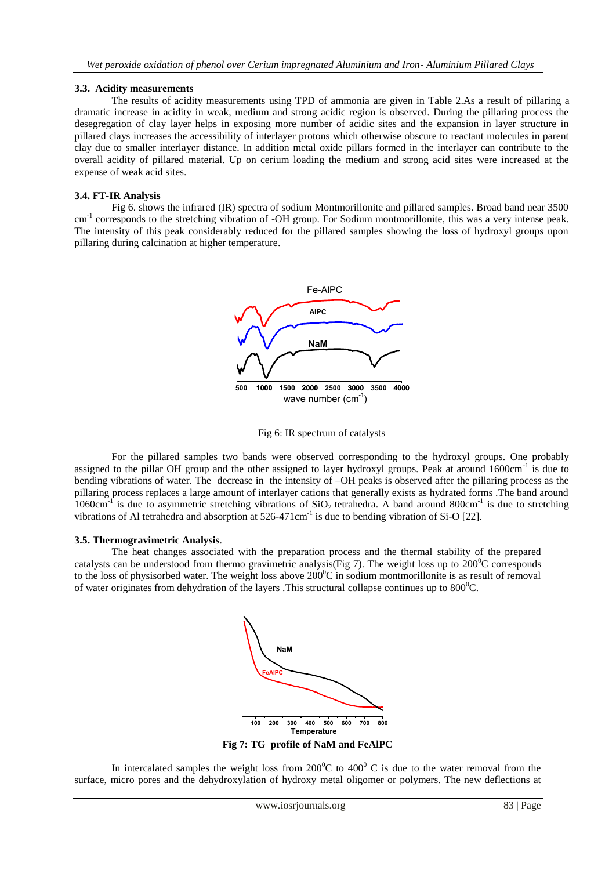## **3.3. Acidity measurements**

The results of acidity measurements using TPD of ammonia are given in Table 2.As a result of pillaring a dramatic increase in acidity in weak, medium and strong acidic region is observed. During the pillaring process the desegregation of clay layer helps in exposing more number of acidic sites and the expansion in layer structure in pillared clays increases the accessibility of interlayer protons which otherwise obscure to reactant molecules in parent clay due to smaller interlayer distance. In addition metal oxide pillars formed in the interlayer can contribute to the overall acidity of pillared material. Up on cerium loading the medium and strong acid sites were increased at the expense of weak acid sites.

## **3.4. FT-IR Analysis**

 Fig 6. shows the infrared (IR) spectra of sodium Montmorillonite and pillared samples. Broad band near 3500 cm<sup>-1</sup> corresponds to the stretching vibration of -OH group. For Sodium montmorillonite, this was a very intense peak. The intensity of this peak considerably reduced for the pillared samples showing the loss of hydroxyl groups upon pillaring during calcination at higher temperature.



Fig 6: IR spectrum of catalysts

For the pillared samples two bands were observed corresponding to the hydroxyl groups. One probably assigned to the pillar OH group and the other assigned to layer hydroxyl groups. Peak at around 1600cm<sup>-1</sup> is due to bending vibrations of water. The decrease in the intensity of –OH peaks is observed after the pillaring process as the pillaring process replaces a large amount of interlayer cations that generally exists as hydrated forms .The band around  $1060 \text{cm}^{-1}$  is due to asymmetric stretching vibrations of SiO<sub>2</sub> tetrahedra. A band around 800cm<sup>-1</sup> is due to stretching vibrations of Al tetrahedra and absorption at 526-471cm<sup>-1</sup> is due to bending vibration of Si-O [22].

## **3.5. Thermogravimetric Analysis**.

The heat changes associated with the preparation process and the thermal stability of the prepared catalysts can be understood from thermo gravimetric analysis(Fig 7). The weight loss up to  $200^{\circ}$ C corresponds to the loss of physisorbed water. The weight loss above  $200^{\circ}$ C in sodium montmorillonite is as result of removal of water originates from dehydration of the layers . This structural collapse continues up to  $800^{\circ}$ C.



In intercalated samples the weight loss from  $200^{\circ}$ C to  $400^{\circ}$ C is due to the water removal from the surface, micro pores and the dehydroxylation of hydroxy metal oligomer or polymers. The new deflections at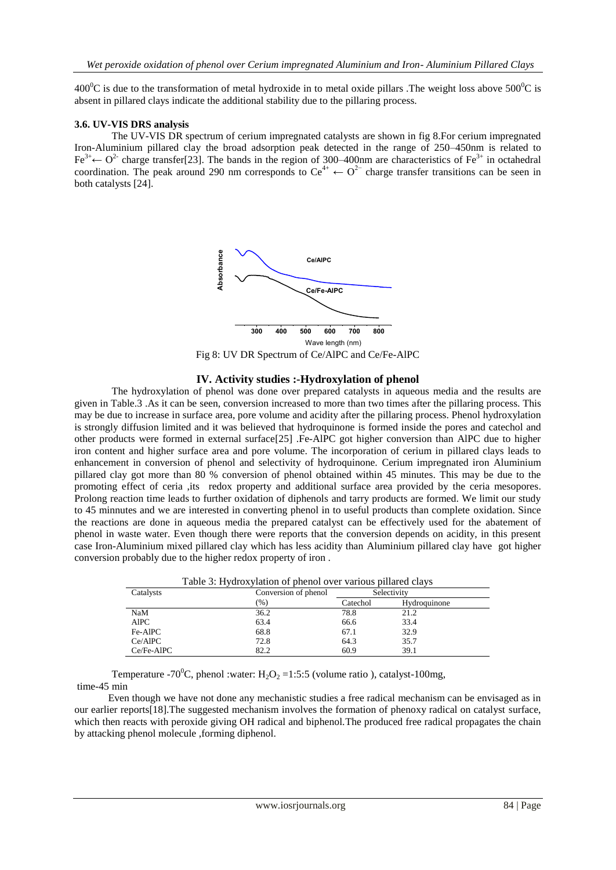400<sup>o</sup>C is due to the transformation of metal hydroxide in to metal oxide pillars. The weight loss above  $500^{\circ}$ C is absent in pillared clays indicate the additional stability due to the pillaring process.

#### **3.6. UV-VIS DRS analysis**

The UV-VIS DR spectrum of cerium impregnated catalysts are shown in fig 8.For cerium impregnated Iron-Aluminium pillared clay the broad adsorption peak detected in the range of 250–450nm is related to Fe<sup>3+</sup> $\leftarrow$  O<sup>2-</sup> charge transfer[23]. The bands in the region of 300–400nm are characteristics of Fe<sup>3+</sup> in octahedral coordination. The peak around 290 nm corresponds to  $Ce^{4+} \leftarrow O^{2-}$  charge transfer transitions can be seen in both catalysts [24].



Fig 8: UV DR Spectrum of Ce/AlPC and Ce/Fe-AlPC

#### **IV. Activity studies :-Hydroxylation of phenol**

The hydroxylation of phenol was done over prepared catalysts in aqueous media and the results are given in Table.3 .As it can be seen, conversion increased to more than two times after the pillaring process. This may be due to increase in surface area, pore volume and acidity after the pillaring process. Phenol hydroxylation is strongly diffusion limited and it was believed that hydroquinone is formed inside the pores and catechol and other products were formed in external surface[25] .Fe-AlPC got higher conversion than AlPC due to higher iron content and higher surface area and pore volume. The incorporation of cerium in pillared clays leads to enhancement in conversion of phenol and selectivity of hydroquinone. Cerium impregnated iron Aluminium pillared clay got more than 80 % conversion of phenol obtained within 45 minutes. This may be due to the promoting effect of ceria ,its redox property and additional surface area provided by the ceria mesopores. Prolong reaction time leads to further oxidation of diphenols and tarry products are formed. We limit our study to 45 minnutes and we are interested in converting phenol in to useful products than complete oxidation. Since the reactions are done in aqueous media the prepared catalyst can be effectively used for the abatement of phenol in waste water. Even though there were reports that the conversion depends on acidity, in this present case Iron-Aluminium mixed pillared clay which has less acidity than Aluminium pillared clay have got higher conversion probably due to the higher redox property of iron .

| Table 3: Hydroxylation of phenol over various pillared clays |                      |             |              |  |  |
|--------------------------------------------------------------|----------------------|-------------|--------------|--|--|
| Catalysts                                                    | Conversion of phenol | Selectivity |              |  |  |
|                                                              | (%)                  | Catechol    | Hydroquinone |  |  |
| NaM                                                          | 36.2                 | 78.8        | 21.2         |  |  |
| <b>AlPC</b>                                                  | 63.4                 | 66.6        | 33.4         |  |  |
| Fe-AlPC                                                      | 68.8                 | 67.1        | 32.9         |  |  |
| Ce/AlPC                                                      | 72.8                 | 64.3        | 35.7         |  |  |
| Ce/Fe-AlPC                                                   | 82.2                 | 60.9        | 39.1         |  |  |

Temperature -70<sup>0</sup>C, phenol :water: H<sub>2</sub>O<sub>2</sub> =1:5:5 (volume ratio), catalyst-100mg, time-45 min

 Even though we have not done any mechanistic studies a free radical mechanism can be envisaged as in our earlier reports[18].The suggested mechanism involves the formation of phenoxy radical on catalyst surface, which then reacts with peroxide giving OH radical and biphenol. The produced free radical propagates the chain by attacking phenol molecule ,forming diphenol.